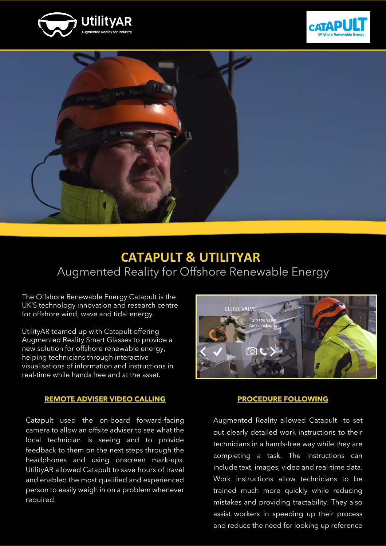





## **CATAPULT & UTILITYAR** Augmented Reality for Offshore Renewable Energy

The Offshore Renewable Energy Catapult is the UK'S technology innovation and research centre for offshore wind, wave and tidal energy.

UtilityAR teamed up with Catapult offering Augmented Reality Smart Glasses to provide a new solution for offshore renewable energy, helping technicians through interactive visualisations of information and instructions in real-time while hands free and at the asset.

#### **REMOTE ADVISER VIDEO CALLING**

Catapult used the on-board forward-facing camera to allow an offsite adviser to see what the local technician is seeing and to provide feedback to them on the next steps through the headphones and using onscreen mark-ups. UtilityAR allowed Catapult to save hours of travel and enabled the most qualified and experienced person to easily weigh in on a problem whenever required.



#### **PROCEDURE FOLLOWING**

Augmented Reality allowed Catapult to set out clearly detailed work instructions to their technicians in a hands-free way while they are completing a task. The instructions can include text, images, video and real-time data. Work instructions allow technicians to be trained much more quickly while reducing mistakes and providing tractability. They also assist workers in speeding up their process and reduce the need for looking up reference